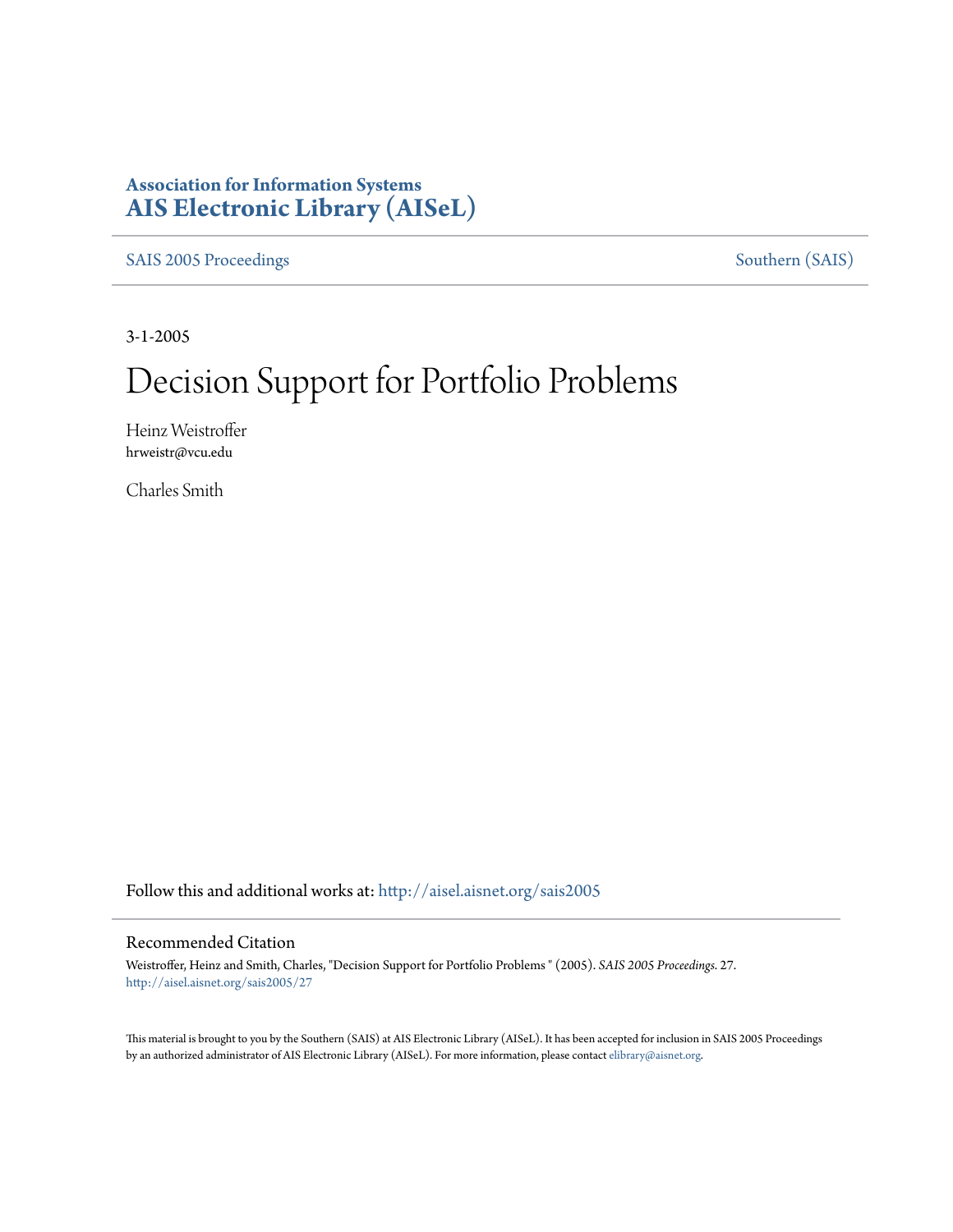## **Association for Information Systems [AIS Electronic Library \(AISeL\)](http://aisel.aisnet.org?utm_source=aisel.aisnet.org%2Fsais2005%2F27&utm_medium=PDF&utm_campaign=PDFCoverPages)**

[SAIS 2005 Proceedings](http://aisel.aisnet.org/sais2005?utm_source=aisel.aisnet.org%2Fsais2005%2F27&utm_medium=PDF&utm_campaign=PDFCoverPages) [Southern \(SAIS\)](http://aisel.aisnet.org/sais?utm_source=aisel.aisnet.org%2Fsais2005%2F27&utm_medium=PDF&utm_campaign=PDFCoverPages)

3-1-2005

# Decision Support for Portfolio Problems

Heinz Weistroffer hrweistr@vcu.edu

Charles Smith

Follow this and additional works at: [http://aisel.aisnet.org/sais2005](http://aisel.aisnet.org/sais2005?utm_source=aisel.aisnet.org%2Fsais2005%2F27&utm_medium=PDF&utm_campaign=PDFCoverPages)

#### Recommended Citation

Weistroffer, Heinz and Smith, Charles, "Decision Support for Portfolio Problems " (2005). *SAIS 2005 Proceedings*. 27. [http://aisel.aisnet.org/sais2005/27](http://aisel.aisnet.org/sais2005/27?utm_source=aisel.aisnet.org%2Fsais2005%2F27&utm_medium=PDF&utm_campaign=PDFCoverPages)

This material is brought to you by the Southern (SAIS) at AIS Electronic Library (AISeL). It has been accepted for inclusion in SAIS 2005 Proceedings by an authorized administrator of AIS Electronic Library (AISeL). For more information, please contact [elibrary@aisnet.org](mailto:elibrary@aisnet.org%3E).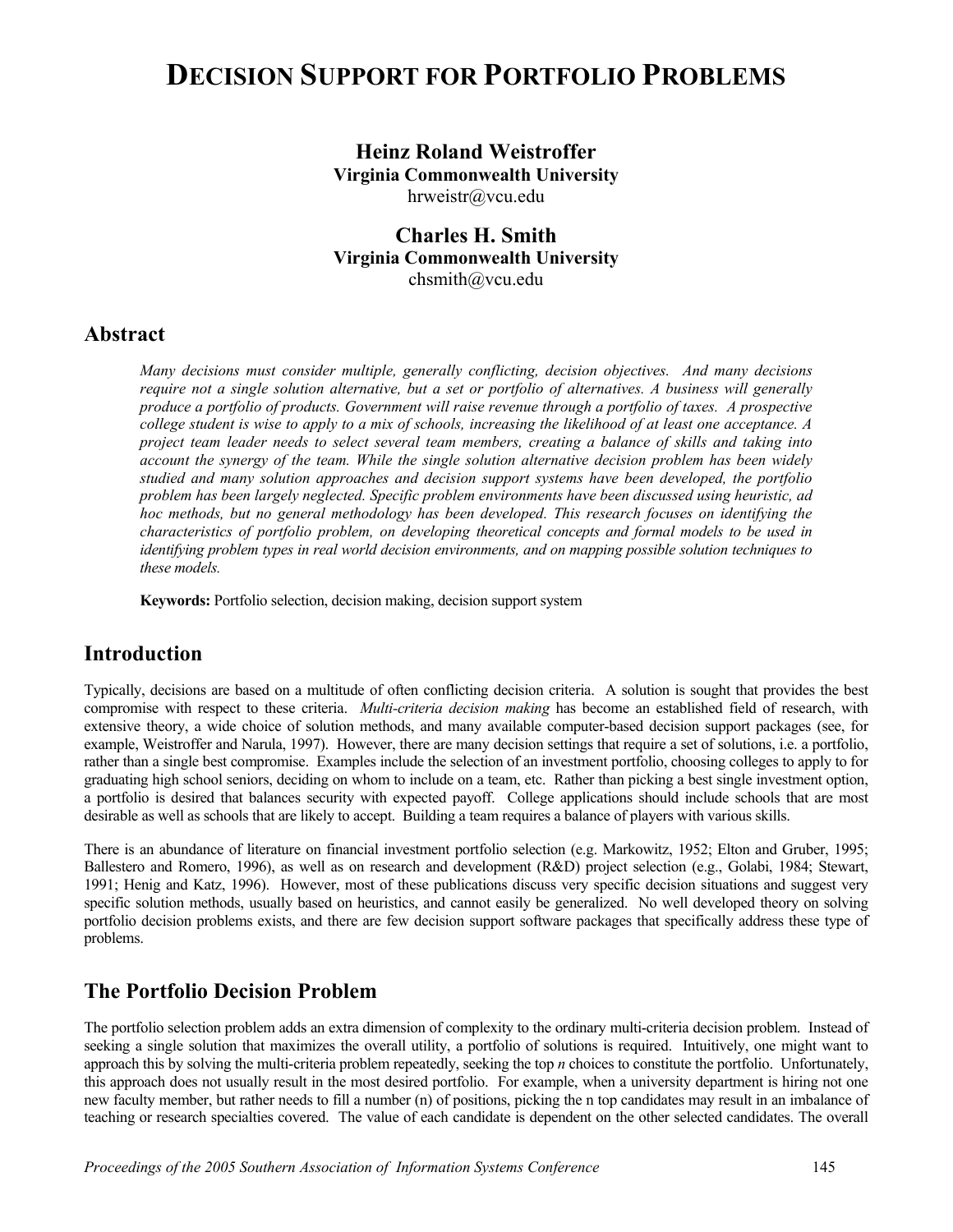## **DECISION SUPPORT FOR PORTFOLIO PROBLEMS**

## **Heinz Roland Weistroffer Virginia Commonwealth University**

hrweistr@vcu.edu

#### **Charles H. Smith Virginia Commonwealth University**  chsmith@vcu.edu

#### **Abstract**

*Many decisions must consider multiple, generally conflicting, decision objectives. And many decisions require not a single solution alternative, but a set or portfolio of alternatives. A business will generally produce a portfolio of products. Government will raise revenue through a portfolio of taxes. A prospective college student is wise to apply to a mix of schools, increasing the likelihood of at least one acceptance. A project team leader needs to select several team members, creating a balance of skills and taking into account the synergy of the team. While the single solution alternative decision problem has been widely studied and many solution approaches and decision support systems have been developed, the portfolio problem has been largely neglected. Specific problem environments have been discussed using heuristic, ad hoc methods, but no general methodology has been developed. This research focuses on identifying the characteristics of portfolio problem, on developing theoretical concepts and formal models to be used in identifying problem types in real world decision environments, and on mapping possible solution techniques to these models.* 

**Keywords:** Portfolio selection, decision making, decision support system

#### **Introduction**

Typically, decisions are based on a multitude of often conflicting decision criteria. A solution is sought that provides the best compromise with respect to these criteria. *Multi-criteria decision making* has become an established field of research, with extensive theory, a wide choice of solution methods, and many available computer-based decision support packages (see, for example, Weistroffer and Narula, 1997). However, there are many decision settings that require a set of solutions, i.e. a portfolio, rather than a single best compromise. Examples include the selection of an investment portfolio, choosing colleges to apply to for graduating high school seniors, deciding on whom to include on a team, etc. Rather than picking a best single investment option, a portfolio is desired that balances security with expected payoff. College applications should include schools that are most desirable as well as schools that are likely to accept. Building a team requires a balance of players with various skills.

There is an abundance of literature on financial investment portfolio selection (e.g. Markowitz, 1952; Elton and Gruber, 1995; Ballestero and Romero, 1996), as well as on research and development (R&D) project selection (e.g., Golabi, 1984; Stewart, 1991; Henig and Katz, 1996). However, most of these publications discuss very specific decision situations and suggest very specific solution methods, usually based on heuristics, and cannot easily be generalized. No well developed theory on solving portfolio decision problems exists, and there are few decision support software packages that specifically address these type of problems.

#### **The Portfolio Decision Problem**

The portfolio selection problem adds an extra dimension of complexity to the ordinary multi-criteria decision problem. Instead of seeking a single solution that maximizes the overall utility, a portfolio of solutions is required. Intuitively, one might want to approach this by solving the multi-criteria problem repeatedly, seeking the top *n* choices to constitute the portfolio. Unfortunately, this approach does not usually result in the most desired portfolio. For example, when a university department is hiring not one new faculty member, but rather needs to fill a number (n) of positions, picking the n top candidates may result in an imbalance of teaching or research specialties covered. The value of each candidate is dependent on the other selected candidates. The overall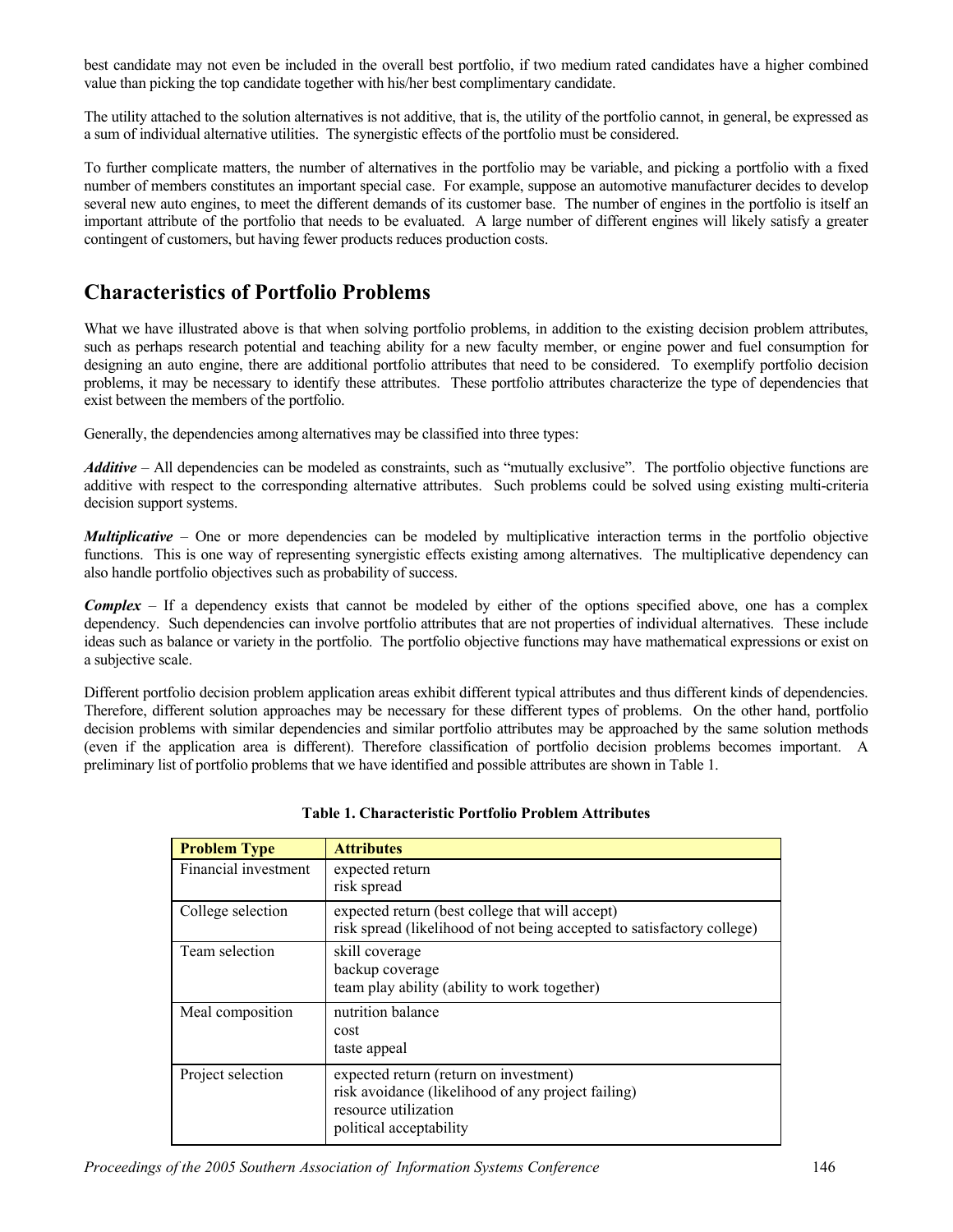best candidate may not even be included in the overall best portfolio, if two medium rated candidates have a higher combined value than picking the top candidate together with his/her best complimentary candidate.

The utility attached to the solution alternatives is not additive, that is, the utility of the portfolio cannot, in general, be expressed as a sum of individual alternative utilities. The synergistic effects of the portfolio must be considered.

To further complicate matters, the number of alternatives in the portfolio may be variable, and picking a portfolio with a fixed number of members constitutes an important special case. For example, suppose an automotive manufacturer decides to develop several new auto engines, to meet the different demands of its customer base. The number of engines in the portfolio is itself an important attribute of the portfolio that needs to be evaluated. A large number of different engines will likely satisfy a greater contingent of customers, but having fewer products reduces production costs.

### **Characteristics of Portfolio Problems**

What we have illustrated above is that when solving portfolio problems, in addition to the existing decision problem attributes, such as perhaps research potential and teaching ability for a new faculty member, or engine power and fuel consumption for designing an auto engine, there are additional portfolio attributes that need to be considered. To exemplify portfolio decision problems, it may be necessary to identify these attributes. These portfolio attributes characterize the type of dependencies that exist between the members of the portfolio.

Generally, the dependencies among alternatives may be classified into three types:

*Additive* – All dependencies can be modeled as constraints, such as "mutually exclusive". The portfolio objective functions are additive with respect to the corresponding alternative attributes. Such problems could be solved using existing multi-criteria decision support systems.

*Multiplicative* – One or more dependencies can be modeled by multiplicative interaction terms in the portfolio objective functions. This is one way of representing synergistic effects existing among alternatives. The multiplicative dependency can also handle portfolio objectives such as probability of success.

*Complex* – If a dependency exists that cannot be modeled by either of the options specified above, one has a complex dependency. Such dependencies can involve portfolio attributes that are not properties of individual alternatives. These include ideas such as balance or variety in the portfolio. The portfolio objective functions may have mathematical expressions or exist on a subjective scale.

Different portfolio decision problem application areas exhibit different typical attributes and thus different kinds of dependencies. Therefore, different solution approaches may be necessary for these different types of problems. On the other hand, portfolio decision problems with similar dependencies and similar portfolio attributes may be approached by the same solution methods (even if the application area is different). Therefore classification of portfolio decision problems becomes important. A preliminary list of portfolio problems that we have identified and possible attributes are shown in Table 1.

| <b>Problem Type</b>  | <b>Attributes</b>                                                      |
|----------------------|------------------------------------------------------------------------|
| Financial investment | expected return                                                        |
|                      | risk spread                                                            |
| College selection    | expected return (best college that will accept)                        |
|                      | risk spread (likelihood of not being accepted to satisfactory college) |
| Team selection       | skill coverage                                                         |
|                      | backup coverage                                                        |
|                      | team play ability (ability to work together)                           |
| Meal composition     | nutrition balance                                                      |
|                      | cost                                                                   |
|                      | taste appeal                                                           |
| Project selection    | expected return (return on investment)                                 |
|                      | risk avoidance (likelihood of any project failing)                     |
|                      | resource utilization                                                   |
|                      | political acceptability                                                |
|                      |                                                                        |

#### **Table 1. Characteristic Portfolio Problem Attributes**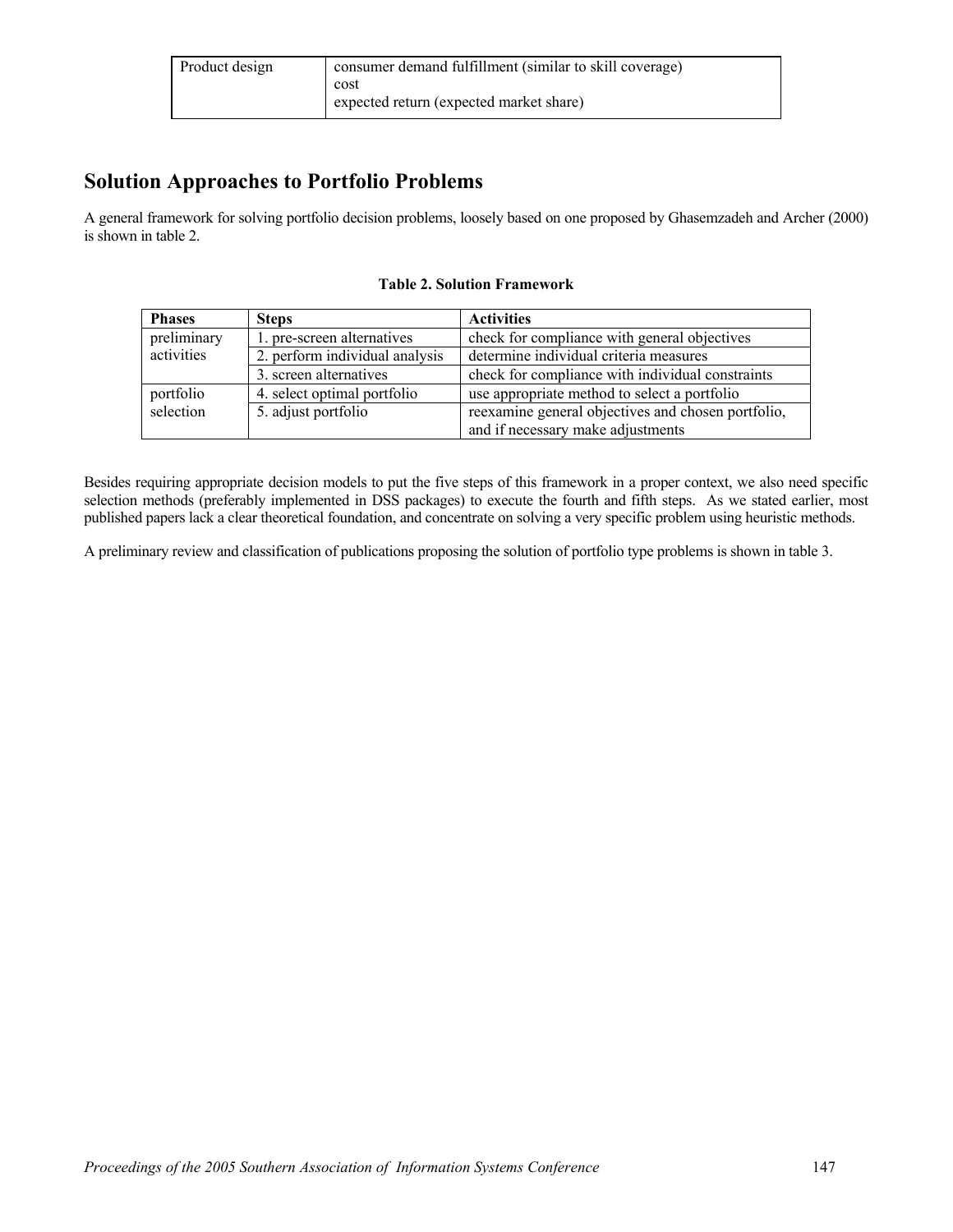| Product design | consumer demand fulfillment (similar to skill coverage) |  |  |
|----------------|---------------------------------------------------------|--|--|
|                | cost                                                    |  |  |
|                | expected return (expected market share)                 |  |  |

### **Solution Approaches to Portfolio Problems**

A general framework for solving portfolio decision problems, loosely based on one proposed by Ghasemzadeh and Archer (2000) is shown in table 2.

| <b>Phases</b> | <b>Steps</b>                   | <b>Activities</b>                                  |  |
|---------------|--------------------------------|----------------------------------------------------|--|
| preliminary   | 1. pre-screen alternatives     | check for compliance with general objectives       |  |
| activities    | 2. perform individual analysis | determine individual criteria measures             |  |
|               | 3. screen alternatives         | check for compliance with individual constraints   |  |
| portfolio     | 4. select optimal portfolio    | use appropriate method to select a portfolio       |  |
| selection     | 5. adjust portfolio            | reexamine general objectives and chosen portfolio, |  |
|               |                                | and if necessary make adjustments                  |  |

#### **Table 2. Solution Framework**

Besides requiring appropriate decision models to put the five steps of this framework in a proper context, we also need specific selection methods (preferably implemented in DSS packages) to execute the fourth and fifth steps. As we stated earlier, most published papers lack a clear theoretical foundation, and concentrate on solving a very specific problem using heuristic methods.

A preliminary review and classification of publications proposing the solution of portfolio type problems is shown in table 3.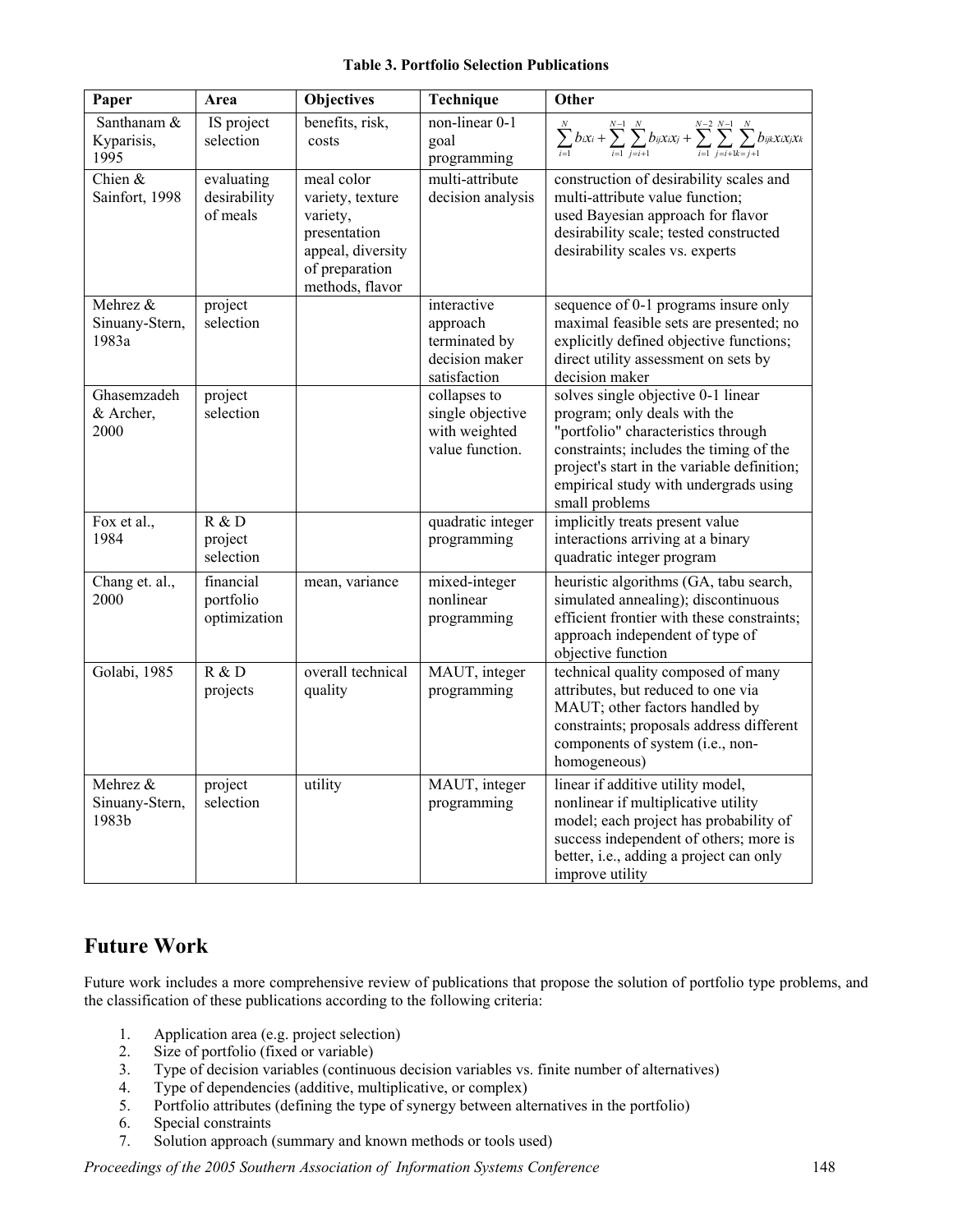#### **Table 3. Portfolio Selection Publications**

| Paper                               | Area                                   | Objectives                                                                                                           | Technique                                                                  | Other                                                                                                                                                                                                                                                          |
|-------------------------------------|----------------------------------------|----------------------------------------------------------------------------------------------------------------------|----------------------------------------------------------------------------|----------------------------------------------------------------------------------------------------------------------------------------------------------------------------------------------------------------------------------------------------------------|
| Santhanam &<br>Kyparisis,<br>1995   | IS project<br>selection                | benefits, risk,<br>costs                                                                                             | non-linear 0-1<br>goal<br>programming                                      | $\sum_{i=1}^{N}b_{i}x_{i}+\sum_{i=1}^{N-1}\sum_{j=i+1}^{N}b_{ij}x_{i}x_{j}+\sum_{i=1}^{N-2}\sum_{j=i+k}^{N-1}\sum_{j=i+1}^{N}b_{ijk}x_{i}x_{j}x_{k}$                                                                                                           |
| Chien $&$<br>Sainfort, 1998         | evaluating<br>desirability<br>of meals | meal color<br>variety, texture<br>variety,<br>presentation<br>appeal, diversity<br>of preparation<br>methods, flavor | multi-attribute<br>decision analysis                                       | construction of desirability scales and<br>multi-attribute value function;<br>used Bayesian approach for flavor<br>desirability scale; tested constructed<br>desirability scales vs. experts                                                                   |
| Mehrez &<br>Sinuany-Stern,<br>1983a | project<br>selection                   |                                                                                                                      | interactive<br>approach<br>terminated by<br>decision maker<br>satisfaction | sequence of 0-1 programs insure only<br>maximal feasible sets are presented; no<br>explicitly defined objective functions;<br>direct utility assessment on sets by<br>decision maker                                                                           |
| Ghasemzadeh<br>& Archer,<br>2000    | project<br>selection                   |                                                                                                                      | collapses to<br>single objective<br>with weighted<br>value function.       | solves single objective 0-1 linear<br>program; only deals with the<br>"portfolio" characteristics through<br>constraints; includes the timing of the<br>project's start in the variable definition;<br>empirical study with undergrads using<br>small problems |
| Fox et al.,<br>1984                 | R & D<br>project<br>selection          |                                                                                                                      | quadratic integer<br>programming                                           | implicitly treats present value<br>interactions arriving at a binary<br>quadratic integer program                                                                                                                                                              |
| Chang et. al.,<br>2000              | financial<br>portfolio<br>optimization | mean, variance                                                                                                       | mixed-integer<br>nonlinear<br>programming                                  | heuristic algorithms (GA, tabu search,<br>simulated annealing); discontinuous<br>efficient frontier with these constraints;<br>approach independent of type of<br>objective function                                                                           |
| Golabi, 1985                        | R & D<br>projects                      | overall technical<br>quality                                                                                         | MAUT, integer<br>programming                                               | technical quality composed of many<br>attributes, but reduced to one via<br>MAUT; other factors handled by<br>constraints; proposals address different<br>components of system (i.e., non-<br>homogeneous)                                                     |
| Mehrez &<br>Sinuany-Stern,<br>1983b | project<br>selection                   | utility                                                                                                              | MAUT, integer<br>programming                                               | linear if additive utility model,<br>nonlinear if multiplicative utility<br>model; each project has probability of<br>success independent of others; more is<br>better, i.e., adding a project can only<br>improve utility                                     |

## **Future Work**

Future work includes a more comprehensive review of publications that propose the solution of portfolio type problems, and the classification of these publications according to the following criteria:

- 1. Application area (e.g. project selection)
- 2. Size of portfolio (fixed or variable)<br>3. Type of decision variables (continuous)
- Type of decision variables (continuous decision variables vs. finite number of alternatives)
- 4. Type of dependencies (additive, multiplicative, or complex)
- 5. Portfolio attributes (defining the type of synergy between alternatives in the portfolio)
- 6. Special constraints
- 7. Solution approach (summary and known methods or tools used)

*Proceedings of the 2005 Southern Association of Information Systems Conference* 148